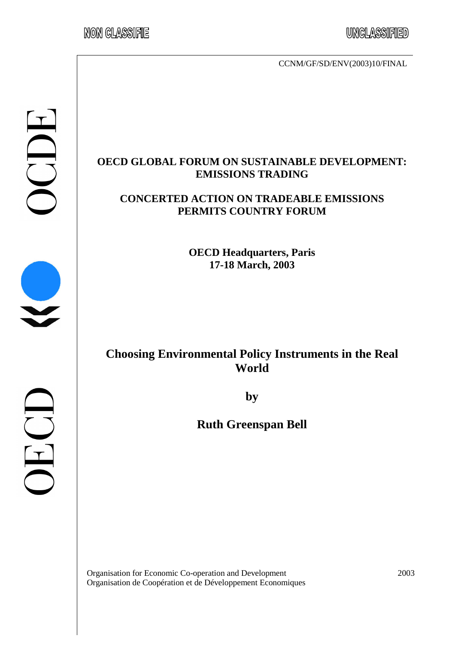# HCDE OE CD

# **OECD GLOBAL FORUM ON SUSTAINABLE DEVELOPMENT: EMISSIONS TRADING**

# **CONCERTED ACTION ON TRADEABLE EMISSIONS PERMITS COUNTRY FORUM**

**OECD Headquarters, Paris 17-18 March, 2003** 

# **Choosing Environmental Policy Instruments in the Real World**

**by** 

**Ruth Greenspan Bell** 

Organisation for Economic Co-operation and Development 2003 Organisation de Coopération et de Développement Economiques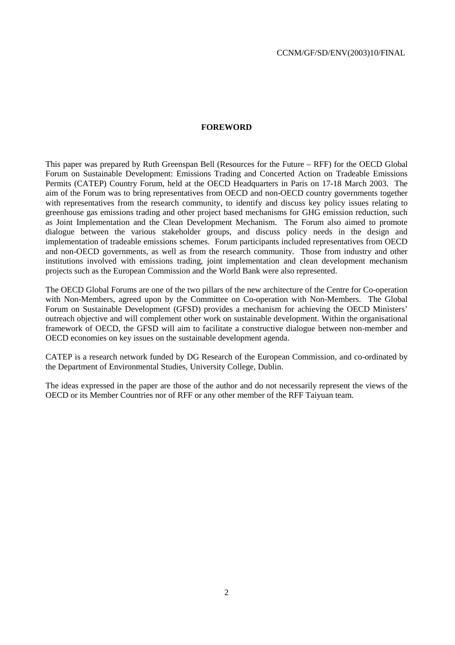### **FOREWORD**

This paper was prepared by Ruth Greenspan Bell (Resources for the Future – RFF) for the OECD Global Forum on Sustainable Development: Emissions Trading and Concerted Action on Tradeable Emissions Permits (CATEP) Country Forum, held at the OECD Headquarters in Paris on 17-18 March 2003. The aim of the Forum was to bring representatives from OECD and non-OECD country governments together with representatives from the research community, to identify and discuss key policy issues relating to greenhouse gas emissions trading and other project based mechanisms for GHG emission reduction, such as Joint Implementation and the Clean Development Mechanism. The Forum also aimed to promote dialogue between the various stakeholder groups, and discuss policy needs in the design and implementation of tradeable emissions schemes. Forum participants included representatives from OECD and non-OECD governments, as well as from the research community. Those from industry and other institutions involved with emissions trading, joint implementation and clean development mechanism projects such as the European Commission and the World Bank were also represented.

The OECD Global Forums are one of the two pillars of the new architecture of the Centre for Co-operation with Non-Members, agreed upon by the Committee on Co-operation with Non-Members. The Global Forum on Sustainable Development (GFSD) provides a mechanism for achieving the OECD Ministers' outreach objective and will complement other work on sustainable development. Within the organisational framework of OECD, the GFSD will aim to facilitate a constructive dialogue between non-member and OECD economies on key issues on the sustainable development agenda.

CATEP is a research network funded by DG Research of the European Commission, and co-ordinated by the Department of Environmental Studies, University College, Dublin.

The ideas expressed in the paper are those of the author and do not necessarily represent the views of the OECD or its Member Countries nor of RFF or any other member of the RFF Taiyuan team.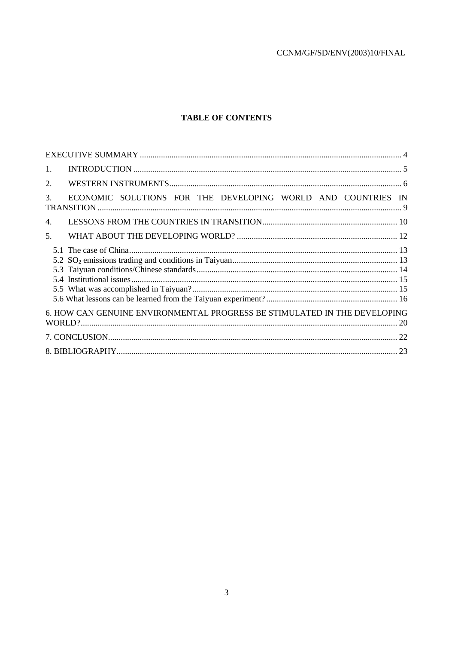# **TABLE OF CONTENTS**

| 1.             |                                                                           |  |
|----------------|---------------------------------------------------------------------------|--|
| 2.             |                                                                           |  |
| 3.             | ECONOMIC SOLUTIONS FOR THE DEVELOPING WORLD AND COUNTRIES IN              |  |
| 4.             |                                                                           |  |
| 5 <sub>1</sub> |                                                                           |  |
|                |                                                                           |  |
|                |                                                                           |  |
|                |                                                                           |  |
|                | 6. HOW CAN GENUINE ENVIRONMENTAL PROGRESS BE STIMULATED IN THE DEVELOPING |  |
|                |                                                                           |  |
|                |                                                                           |  |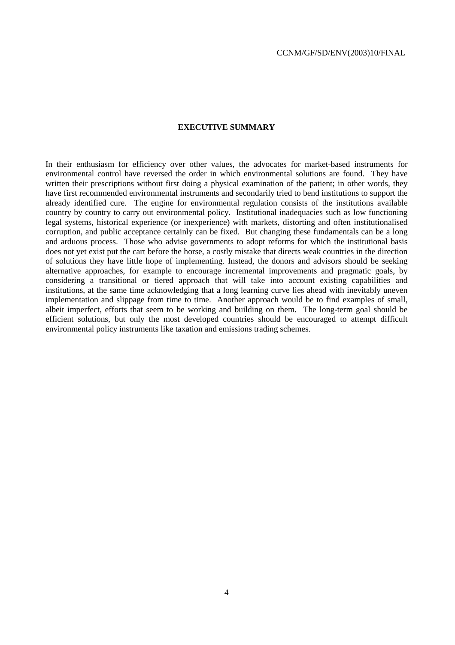## **EXECUTIVE SUMMARY**

In their enthusiasm for efficiency over other values, the advocates for market-based instruments for environmental control have reversed the order in which environmental solutions are found. They have written their prescriptions without first doing a physical examination of the patient; in other words, they have first recommended environmental instruments and secondarily tried to bend institutions to support the already identified cure. The engine for environmental regulation consists of the institutions available country by country to carry out environmental policy. Institutional inadequacies such as low functioning legal systems, historical experience (or inexperience) with markets, distorting and often institutionalised corruption, and public acceptance certainly can be fixed. But changing these fundamentals can be a long and arduous process. Those who advise governments to adopt reforms for which the institutional basis does not yet exist put the cart before the horse, a costly mistake that directs weak countries in the direction of solutions they have little hope of implementing. Instead, the donors and advisors should be seeking alternative approaches, for example to encourage incremental improvements and pragmatic goals, by considering a transitional or tiered approach that will take into account existing capabilities and institutions, at the same time acknowledging that a long learning curve lies ahead with inevitably uneven implementation and slippage from time to time. Another approach would be to find examples of small, albeit imperfect, efforts that seem to be working and building on them. The long-term goal should be efficient solutions, but only the most developed countries should be encouraged to attempt difficult environmental policy instruments like taxation and emissions trading schemes.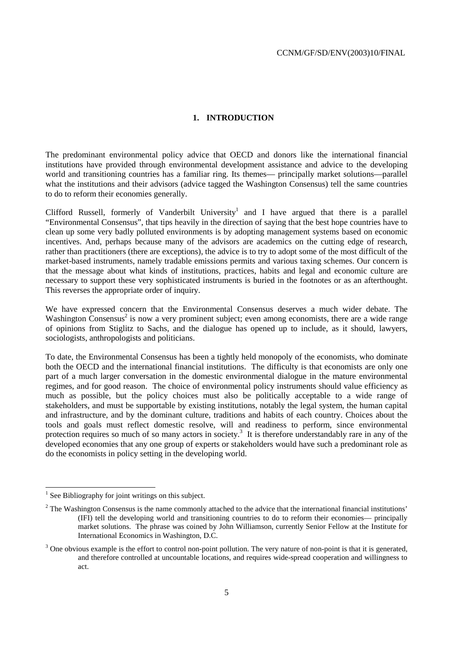#### **1. INTRODUCTION**

The predominant environmental policy advice that OECD and donors like the international financial institutions have provided through environmental development assistance and advice to the developing world and transitioning countries has a familiar ring. Its themes— principally market solutions—parallel what the institutions and their advisors (advice tagged the Washington Consensus) tell the same countries to do to reform their economies generally.

Clifford Russell, formerly of Vanderbilt University<sup>1</sup> and I have argued that there is a parallel "Environmental Consensus", that tips heavily in the direction of saying that the best hope countries have to clean up some very badly polluted environments is by adopting management systems based on economic incentives. And, perhaps because many of the advisors are academics on the cutting edge of research, rather than practitioners (there are exceptions), the advice is to try to adopt some of the most difficult of the market-based instruments, namely tradable emissions permits and various taxing schemes. Our concern is that the message about what kinds of institutions, practices, habits and legal and economic culture are necessary to support these very sophisticated instruments is buried in the footnotes or as an afterthought. This reverses the appropriate order of inquiry.

We have expressed concern that the Environmental Consensus deserves a much wider debate. The Washington Consensus<sup>2</sup> is now a very prominent subject; even among economists, there are a wide range of opinions from Stiglitz to Sachs, and the dialogue has opened up to include, as it should, lawyers, sociologists, anthropologists and politicians.

To date, the Environmental Consensus has been a tightly held monopoly of the economists, who dominate both the OECD and the international financial institutions. The difficulty is that economists are only one part of a much larger conversation in the domestic environmental dialogue in the mature environmental regimes, and for good reason. The choice of environmental policy instruments should value efficiency as much as possible, but the policy choices must also be politically acceptable to a wide range of stakeholders, and must be supportable by existing institutions, notably the legal system, the human capital and infrastructure, and by the dominant culture, traditions and habits of each country. Choices about the tools and goals must reflect domestic resolve, will and readiness to perform, since environmental protection requires so much of so many actors in society.<sup>3</sup> It is therefore understandably rare in any of the developed economies that any one group of experts or stakeholders would have such a predominant role as do the economists in policy setting in the developing world.

<sup>&</sup>lt;sup>1</sup> See Bibliography for joint writings on this subject.

 $2^2$  The Washington Consensus is the name commonly attached to the advice that the international financial institutions' (IFI) tell the developing world and transitioning countries to do to reform their economies— principally market solutions. The phrase was coined by John Williamson, currently Senior Fellow at the Institute for International Economics in Washington, D.C.

 $3$  One obvious example is the effort to control non-point pollution. The very nature of non-point is that it is generated, and therefore controlled at uncountable locations, and requires wide-spread cooperation and willingness to act.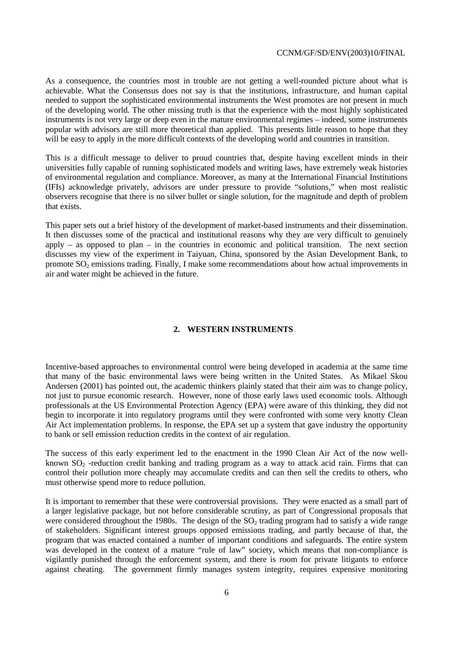As a consequence, the countries most in trouble are not getting a well-rounded picture about what is achievable. What the Consensus does not say is that the institutions, infrastructure, and human capital needed to support the sophisticated environmental instruments the West promotes are not present in much of the developing world. The other missing truth is that the experience with the most highly sophisticated instruments is not very large or deep even in the mature environmental regimes – indeed, some instruments popular with advisors are still more theoretical than applied. This presents little reason to hope that they will be easy to apply in the more difficult contexts of the developing world and countries in transition.

This is a difficult message to deliver to proud countries that, despite having excellent minds in their universities fully capable of running sophisticated models and writing laws, have extremely weak histories of environmental regulation and compliance. Moreover, as many at the International Financial Institutions (IFIs) acknowledge privately, advisors are under pressure to provide "solutions," when most realistic observers recognise that there is no silver bullet or single solution, for the magnitude and depth of problem that exists.

This paper sets out a brief history of the development of market-based instruments and their dissemination. It then discusses some of the practical and institutional reasons why they are very difficult to genuinely apply – as opposed to plan – in the countries in economic and political transition. The next section discusses my view of the experiment in Taiyuan, China, sponsored by the Asian Development Bank, to promote  $SO_2$  emissions trading. Finally, I make some recommendations about how actual improvements in air and water might be achieved in the future.

#### **2. WESTERN INSTRUMENTS**

Incentive-based approaches to environmental control were being developed in academia at the same time that many of the basic environmental laws were being written in the United States. As Mikael Skou Andersen (2001) has pointed out, the academic thinkers plainly stated that their aim was to change policy, not just to pursue economic research. However, none of those early laws used economic tools. Although professionals at the US Environmental Protection Agency (EPA) were aware of this thinking, they did not begin to incorporate it into regulatory programs until they were confronted with some very knotty Clean Air Act implementation problems. In response, the EPA set up a system that gave industry the opportunity to bank or sell emission reduction credits in the context of air regulation.

The success of this early experiment led to the enactment in the 1990 Clean Air Act of the now wellknown  $SO_2$  -reduction credit banking and trading program as a way to attack acid rain. Firms that can control their pollution more cheaply may accumulate credits and can then sell the credits to others, who must otherwise spend more to reduce pollution.

It is important to remember that these were controversial provisions. They were enacted as a small part of a larger legislative package, but not before considerable scrutiny, as part of Congressional proposals that were considered throughout the 1980s. The design of the  $SO<sub>2</sub>$  trading program had to satisfy a wide range of stakeholders. Significant interest groups opposed emissions trading, and partly because of that, the program that was enacted contained a number of important conditions and safeguards. The entire system was developed in the context of a mature "rule of law" society, which means that non-compliance is vigilantly punished through the enforcement system, and there is room for private litigants to enforce against cheating. The government firmly manages system integrity, requires expensive monitoring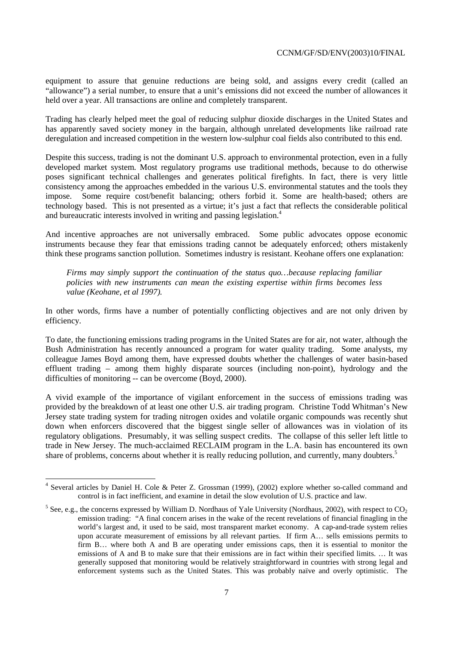equipment to assure that genuine reductions are being sold, and assigns every credit (called an "allowance") a serial number, to ensure that a unit's emissions did not exceed the number of allowances it held over a year. All transactions are online and completely transparent.

Trading has clearly helped meet the goal of reducing sulphur dioxide discharges in the United States and has apparently saved society money in the bargain, although unrelated developments like railroad rate deregulation and increased competition in the western low-sulphur coal fields also contributed to this end.

Despite this success, trading is not the dominant U.S. approach to environmental protection, even in a fully developed market system. Most regulatory programs use traditional methods, because to do otherwise poses significant technical challenges and generates political firefights. In fact, there is very little consistency among the approaches embedded in the various U.S. environmental statutes and the tools they impose. Some require cost/benefit balancing; others forbid it. Some are health-based; others are technology based. This is not presented as a virtue; it's just a fact that reflects the considerable political and bureaucratic interests involved in writing and passing legislation.<sup>4</sup>

And incentive approaches are not universally embraced. Some public advocates oppose economic instruments because they fear that emissions trading cannot be adequately enforced; others mistakenly think these programs sanction pollution. Sometimes industry is resistant. Keohane offers one explanation:

*Firms may simply support the continuation of the status quo…because replacing familiar policies with new instruments can mean the existing expertise within firms becomes less value (Keohane, et al 1997).* 

In other words, firms have a number of potentially conflicting objectives and are not only driven by efficiency.

To date, the functioning emissions trading programs in the United States are for air, not water, although the Bush Administration has recently announced a program for water quality trading. Some analysts, my colleague James Boyd among them, have expressed doubts whether the challenges of water basin-based effluent trading – among them highly disparate sources (including non-point), hydrology and the difficulties of monitoring -- can be overcome (Boyd, 2000).

A vivid example of the importance of vigilant enforcement in the success of emissions trading was provided by the breakdown of at least one other U.S. air trading program. Christine Todd Whitman's New Jersey state trading system for trading nitrogen oxides and volatile organic compounds was recently shut down when enforcers discovered that the biggest single seller of allowances was in violation of its regulatory obligations. Presumably, it was selling suspect credits. The collapse of this seller left little to trade in New Jersey. The much-acclaimed RECLAIM program in the L.A. basin has encountered its own share of problems, concerns about whether it is really reducing pollution, and currently, many doubters.<sup>5</sup>

-

<sup>&</sup>lt;sup>4</sup> Several articles by Daniel H. Cole & Peter Z. Grossman (1999), (2002) explore whether so-called command and control is in fact inefficient, and examine in detail the slow evolution of U.S. practice and law.

<sup>&</sup>lt;sup>5</sup> See, e.g., the concerns expressed by William D. Nordhaus of Yale University (Nordhaus, 2002), with respect to  $CO_2$ emission trading: "A final concern arises in the wake of the recent revelations of financial finagling in the world's largest and, it used to be said, most transparent market economy. A cap-and-trade system relies upon accurate measurement of emissions by all relevant parties. If firm A… sells emissions permits to firm B… where both A and B are operating under emissions caps, then it is essential to monitor the emissions of A and B to make sure that their emissions are in fact within their specified limits. … It was generally supposed that monitoring would be relatively straightforward in countries with strong legal and enforcement systems such as the United States. This was probably naïve and overly optimistic. The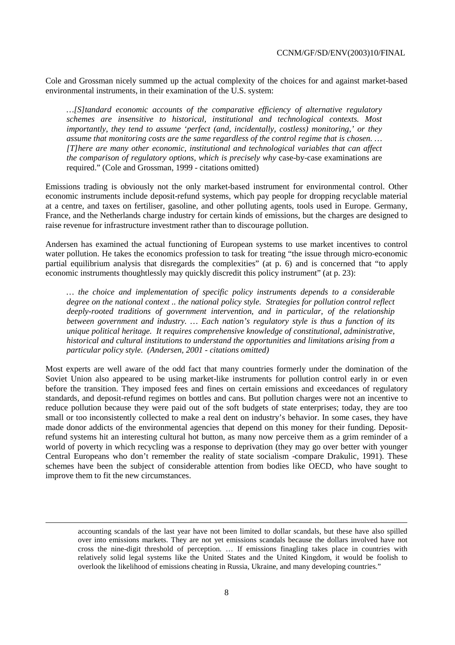Cole and Grossman nicely summed up the actual complexity of the choices for and against market-based environmental instruments, in their examination of the U.S. system:

*…[S]tandard economic accounts of the comparative efficiency of alternative regulatory schemes are insensitive to historical, institutional and technological contexts. Most importantly, they tend to assume 'perfect (and, incidentally, costless) monitoring,' or they assume that monitoring costs are the same regardless of the control regime that is chosen. … [T]here are many other economic, institutional and technological variables that can affect the comparison of regulatory options, which is precisely why* case-by-case examinations are required." (Cole and Grossman, 1999 - citations omitted)

Emissions trading is obviously not the only market-based instrument for environmental control. Other economic instruments include deposit-refund systems, which pay people for dropping recyclable material at a centre, and taxes on fertiliser, gasoline, and other polluting agents, tools used in Europe. Germany, France, and the Netherlands charge industry for certain kinds of emissions, but the charges are designed to raise revenue for infrastructure investment rather than to discourage pollution.

Andersen has examined the actual functioning of European systems to use market incentives to control water pollution. He takes the economics profession to task for treating "the issue through micro-economic partial equilibrium analysis that disregards the complexities" (at p. 6) and is concerned that "to apply economic instruments thoughtlessly may quickly discredit this policy instrument" (at p. 23):

*… the choice and implementation of specific policy instruments depends to a considerable degree on the national context .. the national policy style. Strategies for pollution control reflect deeply-rooted traditions of government intervention, and in particular, of the relationship between government and industry. … Each nation's regulatory style is thus a function of its unique political heritage. It requires comprehensive knowledge of constitutional, administrative, historical and cultural institutions to understand the opportunities and limitations arising from a particular policy style. (Andersen, 2001 - citations omitted)*

Most experts are well aware of the odd fact that many countries formerly under the domination of the Soviet Union also appeared to be using market-like instruments for pollution control early in or even before the transition. They imposed fees and fines on certain emissions and exceedances of regulatory standards, and deposit-refund regimes on bottles and cans. But pollution charges were not an incentive to reduce pollution because they were paid out of the soft budgets of state enterprises; today, they are too small or too inconsistently collected to make a real dent on industry's behavior. In some cases, they have made donor addicts of the environmental agencies that depend on this money for their funding. Depositrefund systems hit an interesting cultural hot button, as many now perceive them as a grim reminder of a world of poverty in which recycling was a response to deprivation (they may go over better with younger Central Europeans who don't remember the reality of state socialism -compare Drakulic, 1991). These schemes have been the subject of considerable attention from bodies like OECD, who have sought to improve them to fit the new circumstances.

 $\overline{a}$ 

accounting scandals of the last year have not been limited to dollar scandals, but these have also spilled over into emissions markets. They are not yet emissions scandals because the dollars involved have not cross the nine-digit threshold of perception. … If emissions finagling takes place in countries with relatively solid legal systems like the United States and the United Kingdom, it would be foolish to overlook the likelihood of emissions cheating in Russia, Ukraine, and many developing countries."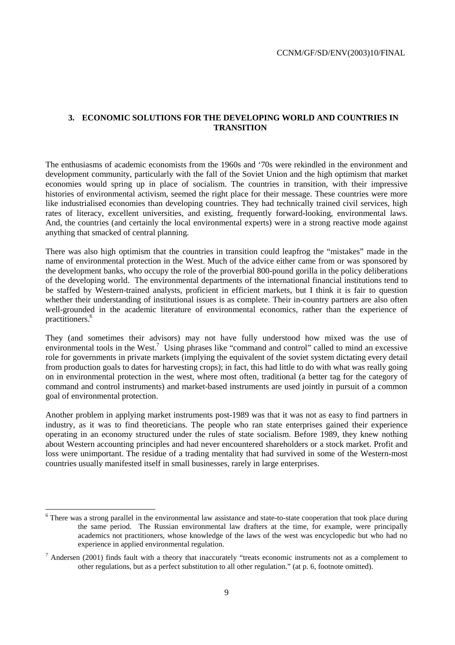# **3. ECONOMIC SOLUTIONS FOR THE DEVELOPING WORLD AND COUNTRIES IN TRANSITION**

The enthusiasms of academic economists from the 1960s and '70s were rekindled in the environment and development community, particularly with the fall of the Soviet Union and the high optimism that market economies would spring up in place of socialism. The countries in transition, with their impressive histories of environmental activism, seemed the right place for their message. These countries were more like industrialised economies than developing countries. They had technically trained civil services, high rates of literacy, excellent universities, and existing, frequently forward-looking, environmental laws. And, the countries (and certainly the local environmental experts) were in a strong reactive mode against anything that smacked of central planning.

There was also high optimism that the countries in transition could leapfrog the "mistakes" made in the name of environmental protection in the West. Much of the advice either came from or was sponsored by the development banks, who occupy the role of the proverbial 800-pound gorilla in the policy deliberations of the developing world. The environmental departments of the international financial institutions tend to be staffed by Western-trained analysts, proficient in efficient markets, but I think it is fair to question whether their understanding of institutional issues is as complete. Their in-country partners are also often well-grounded in the academic literature of environmental economics, rather than the experience of practitioners.<sup>6</sup>

They (and sometimes their advisors) may not have fully understood how mixed was the use of environmental tools in the West.<sup>7</sup> Using phrases like "command and control" called to mind an excessive role for governments in private markets (implying the equivalent of the soviet system dictating every detail from production goals to dates for harvesting crops); in fact, this had little to do with what was really going on in environmental protection in the west, where most often, traditional (a better tag for the category of command and control instruments) and market-based instruments are used jointly in pursuit of a common goal of environmental protection.

Another problem in applying market instruments post-1989 was that it was not as easy to find partners in industry, as it was to find theoreticians. The people who ran state enterprises gained their experience operating in an economy structured under the rules of state socialism. Before 1989, they knew nothing about Western accounting principles and had never encountered shareholders or a stock market. Profit and loss were unimportant. The residue of a trading mentality that had survived in some of the Western-most countries usually manifested itself in small businesses, rarely in large enterprises.

There was a strong parallel in the environmental law assistance and state-to-state cooperation that took place during <sup>6</sup> the same period. The Russian environmental law drafters at the time, for example, were principally academics not practitioners, whose knowledge of the laws of the west was encyclopedic but who had no experience in applied environmental regulation.

 $<sup>7</sup>$  Andersen (2001) finds fault with a theory that inaccurately "treats economic instruments not as a complement to</sup> other regulations, but as a perfect substitution to all other regulation." (at p. 6, footnote omitted).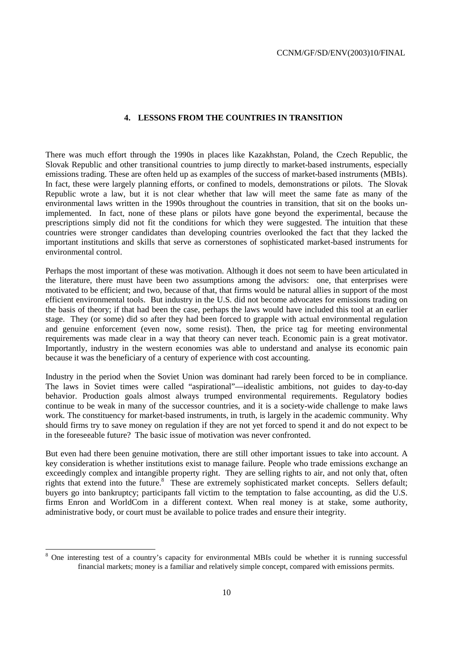#### **4. LESSONS FROM THE COUNTRIES IN TRANSITION**

There was much effort through the 1990s in places like Kazakhstan, Poland, the Czech Republic, the Slovak Republic and other transitional countries to jump directly to market-based instruments, especially emissions trading. These are often held up as examples of the success of market-based instruments (MBIs). In fact, these were largely planning efforts, or confined to models, demonstrations or pilots. The Slovak Republic wrote a law, but it is not clear whether that law will meet the same fate as many of the environmental laws written in the 1990s throughout the countries in transition, that sit on the books unimplemented. In fact, none of these plans or pilots have gone beyond the experimental, because the prescriptions simply did not fit the conditions for which they were suggested. The intuition that these countries were stronger candidates than developing countries overlooked the fact that they lacked the important institutions and skills that serve as cornerstones of sophisticated market-based instruments for environmental control.

Perhaps the most important of these was motivation. Although it does not seem to have been articulated in the literature, there must have been two assumptions among the advisors: one, that enterprises were motivated to be efficient; and two, because of that, that firms would be natural allies in support of the most efficient environmental tools. But industry in the U.S. did not become advocates for emissions trading on the basis of theory; if that had been the case, perhaps the laws would have included this tool at an earlier stage. They (or some) did so after they had been forced to grapple with actual environmental regulation and genuine enforcement (even now, some resist). Then, the price tag for meeting environmental requirements was made clear in a way that theory can never teach. Economic pain is a great motivator. Importantly, industry in the western economies was able to understand and analyse its economic pain because it was the beneficiary of a century of experience with cost accounting.

Industry in the period when the Soviet Union was dominant had rarely been forced to be in compliance. The laws in Soviet times were called "aspirational"—idealistic ambitions, not guides to day-to-day behavior. Production goals almost always trumped environmental requirements. Regulatory bodies continue to be weak in many of the successor countries, and it is a society-wide challenge to make laws work. The constituency for market-based instruments, in truth, is largely in the academic community. Why should firms try to save money on regulation if they are not yet forced to spend it and do not expect to be in the foreseeable future? The basic issue of motivation was never confronted.

But even had there been genuine motivation, there are still other important issues to take into account. A key consideration is whether institutions exist to manage failure. People who trade emissions exchange an exceedingly complex and intangible property right. They are selling rights to air, and not only that, often rights that extend into the future.<sup>8</sup> These are extremely sophisticated market concepts. Sellers default; buyers go into bankruptcy; participants fall victim to the temptation to false accounting, as did the U.S. firms Enron and WorldCom in a different context. When real money is at stake, some authority, administrative body, or court must be available to police trades and ensure their integrity.

<u>.</u>

<sup>8</sup> One interesting test of a country's capacity for environmental MBIs could be whether it is running successful financial markets; money is a familiar and relatively simple concept, compared with emissions permits.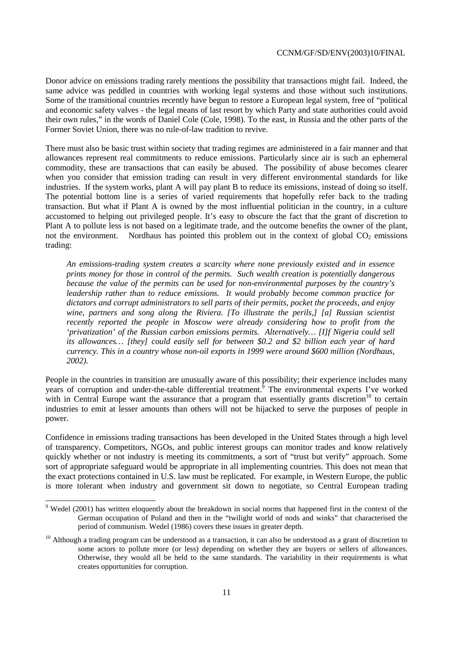Donor advice on emissions trading rarely mentions the possibility that transactions might fail. Indeed, the same advice was peddled in countries with working legal systems and those without such institutions. Some of the transitional countries recently have begun to restore a European legal system, free of "political and economic safety valves - the legal means of last resort by which Party and state authorities could avoid their own rules," in the words of Daniel Cole (Cole, 1998). To the east, in Russia and the other parts of the Former Soviet Union, there was no rule-of-law tradition to revive.

There must also be basic trust within society that trading regimes are administered in a fair manner and that allowances represent real commitments to reduce emissions. Particularly since air is such an ephemeral commodity, these are transactions that can easily be abused. The possibility of abuse becomes clearer when you consider that emission trading can result in very different environmental standards for like industries. If the system works, plant A will pay plant B to reduce its emissions, instead of doing so itself. The potential bottom line is a series of varied requirements that hopefully refer back to the trading transaction. But what if Plant A is owned by the most influential politician in the country, in a culture accustomed to helping out privileged people. It's easy to obscure the fact that the grant of discretion to Plant A to pollute less is not based on a legitimate trade, and the outcome benefits the owner of the plant, not the environment. Nordhaus has pointed this problem out in the context of global  $CO<sub>2</sub>$  emissions trading:

*An emissions-trading system creates a scarcity where none previously existed and in essence prints money for those in control of the permits. Such wealth creation is potentially dangerous because the value of the permits can be used for non-environmental purposes by the country's leadership rather than to reduce emissions. It would probably become common practice for dictators and corrupt administrators to sell parts of their permits, pocket the proceeds, and enjoy wine, partners and song along the Riviera. [To illustrate the perils,] [a] Russian scientist recently reported the people in Moscow were already considering how to profit from the 'privatization' of the Russian carbon emissions permits. Alternatively… [I]f Nigeria could sell its allowances… [they] could easily sell for between \$0.2 and \$2 billion each year of hard currency. This in a country whose non-oil exports in 1999 were around \$600 million (Nordhaus, 2002).* 

People in the countries in transition are unusually aware of this possibility; their experience includes many years of corruption and under-the-table differential treatment.<sup>9</sup> The environmental experts I've worked with in Central Europe want the assurance that a program that essentially grants discretion<sup>10</sup> to certain industries to emit at lesser amounts than others will not be hijacked to serve the purposes of people in power.

Confidence in emissions trading transactions has been developed in the United States through a high level of transparency. Competitors, NGOs, and public interest groups can monitor trades and know relatively quickly whether or not industry is meeting its commitments, a sort of "trust but verify" approach. Some sort of appropriate safeguard would be appropriate in all implementing countries. This does not mean that the exact protections contained in U.S. law must be replicated. For example, in Western Europe, the public is more tolerant when industry and government sit down to negotiate, so Central European trading

Wedel (2001) has written eloquently about the breakdown in social norms that happened first in the context of the German occupation of Poland and then in the "twilight world of nods and winks" that characterised the period of communism. Wedel (1986) covers these issues in greater depth.

 $10$  Although a trading program can be understood as a transaction, it can also be understood as a grant of discretion to some actors to pollute more (or less) depending on whether they are buyers or sellers of allowances. Otherwise, they would all be held to the same standards. The variability in their requirements is what creates opportunities for corruption.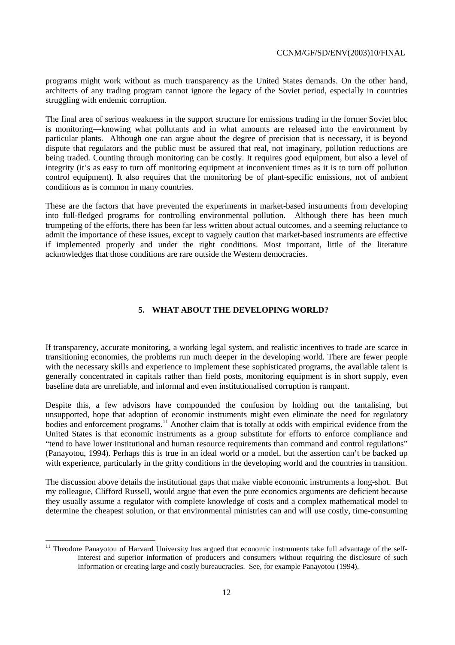programs might work without as much transparency as the United States demands. On the other hand, architects of any trading program cannot ignore the legacy of the Soviet period, especially in countries struggling with endemic corruption.

The final area of serious weakness in the support structure for emissions trading in the former Soviet bloc is monitoring—knowing what pollutants and in what amounts are released into the environment by particular plants. Although one can argue about the degree of precision that is necessary, it is beyond dispute that regulators and the public must be assured that real, not imaginary, pollution reductions are being traded. Counting through monitoring can be costly. It requires good equipment, but also a level of integrity (it's as easy to turn off monitoring equipment at inconvenient times as it is to turn off pollution control equipment). It also requires that the monitoring be of plant-specific emissions, not of ambient conditions as is common in many countries.

These are the factors that have prevented the experiments in market-based instruments from developing into full-fledged programs for controlling environmental pollution. Although there has been much trumpeting of the efforts, there has been far less written about actual outcomes, and a seeming reluctance to admit the importance of these issues, except to vaguely caution that market-based instruments are effective if implemented properly and under the right conditions. Most important, little of the literature acknowledges that those conditions are rare outside the Western democracies.

# **5. WHAT ABOUT THE DEVELOPING WORLD?**

If transparency, accurate monitoring, a working legal system, and realistic incentives to trade are scarce in transitioning economies, the problems run much deeper in the developing world. There are fewer people with the necessary skills and experience to implement these sophisticated programs, the available talent is generally concentrated in capitals rather than field posts, monitoring equipment is in short supply, even baseline data are unreliable, and informal and even institutionalised corruption is rampant.

Despite this, a few advisors have compounded the confusion by holding out the tantalising, but unsupported, hope that adoption of economic instruments might even eliminate the need for regulatory bodies and enforcement programs.<sup>11</sup> Another claim that is totally at odds with empirical evidence from the United States is that economic instruments as a group substitute for efforts to enforce compliance and "tend to have lower institutional and human resource requirements than command and control regulations" (Panayotou, 1994). Perhaps this is true in an ideal world or a model, but the assertion can't be backed up with experience, particularly in the gritty conditions in the developing world and the countries in transition.

The discussion above details the institutional gaps that make viable economic instruments a long-shot. But my colleague, Clifford Russell, would argue that even the pure economics arguments are deficient because they usually assume a regulator with complete knowledge of costs and a complex mathematical model to determine the cheapest solution, or that environmental ministries can and will use costly, time-consuming

<u>.</u>

<sup>&</sup>lt;sup>11</sup> Theodore Panayotou of Harvard University has argued that economic instruments take full advantage of the selfinterest and superior information of producers and consumers without requiring the disclosure of such information or creating large and costly bureaucracies. See, for example Panayotou (1994).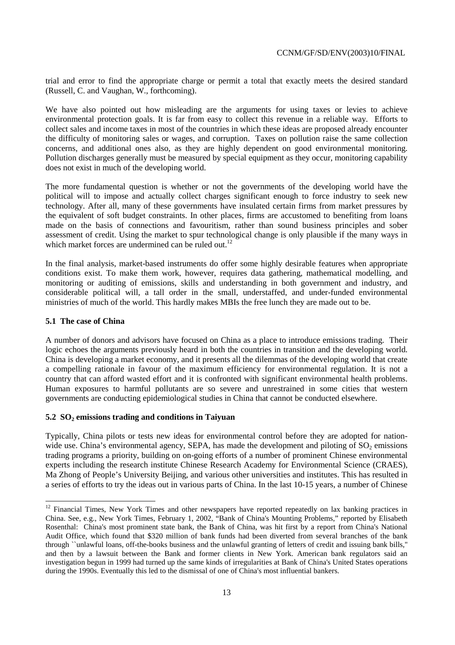trial and error to find the appropriate charge or permit a total that exactly meets the desired standard (Russell, C. and Vaughan, W., forthcoming).

We have also pointed out how misleading are the arguments for using taxes or levies to achieve environmental protection goals. It is far from easy to collect this revenue in a reliable way. Efforts to collect sales and income taxes in most of the countries in which these ideas are proposed already encounter the difficulty of monitoring sales or wages, and corruption. Taxes on pollution raise the same collection concerns, and additional ones also, as they are highly dependent on good environmental monitoring. Pollution discharges generally must be measured by special equipment as they occur, monitoring capability does not exist in much of the developing world.

The more fundamental question is whether or not the governments of the developing world have the political will to impose and actually collect charges significant enough to force industry to seek new technology. After all, many of these governments have insulated certain firms from market pressures by the equivalent of soft budget constraints. In other places, firms are accustomed to benefiting from loans made on the basis of connections and favouritism, rather than sound business principles and sober assessment of credit. Using the market to spur technological change is only plausible if the many ways in which market forces are undermined can be ruled out.<sup>12</sup>

In the final analysis, market-based instruments do offer some highly desirable features when appropriate conditions exist. To make them work, however, requires data gathering, mathematical modelling, and monitoring or auditing of emissions, skills and understanding in both government and industry, and considerable political will, a tall order in the small, understaffed, and under-funded environmental ministries of much of the world. This hardly makes MBIs the free lunch they are made out to be.

## **5.1 The case of China**

<u>.</u>

A number of donors and advisors have focused on China as a place to introduce emissions trading. Their logic echoes the arguments previously heard in both the countries in transition and the developing world. China is developing a market economy, and it presents all the dilemmas of the developing world that create a compelling rationale in favour of the maximum efficiency for environmental regulation. It is not a country that can afford wasted effort and it is confronted with significant environmental health problems. Human exposures to harmful pollutants are so severe and unrestrained in some cities that western governments are conducting epidemiological studies in China that cannot be conducted elsewhere.

# **5.2 SO**<sub>2</sub> emissions trading and conditions in Taiyuan

Typically, China pilots or tests new ideas for environmental control before they are adopted for nationwide use. China's environmental agency, SEPA, has made the development and piloting of  $SO_2$  emissions trading programs a priority, building on on-going efforts of a number of prominent Chinese environmental experts including the research institute Chinese Research Academy for Environmental Science (CRAES), Ma Zhong of People's University Beijing, and various other universities and institutes. This has resulted in a series of efforts to try the ideas out in various parts of China. In the last 10-15 years, a number of Chinese

 $12$  Financial Times, New York Times and other newspapers have reported repeatedly on lax banking practices in China. See, e.g., New York Times, February 1, 2002, "Bank of China's Mounting Problems," reported by Elisabeth Rosenthal: China's most prominent state bank, the Bank of China, was hit first by a report from China's National Audit Office, which found that \$320 million of bank funds had been diverted from several branches of the bank through ``unlawful loans, off-the-books business and the unlawful granting of letters of credit and issuing bank bills,'' and then by a lawsuit between the Bank and former clients in New York. American bank regulators said an investigation begun in 1999 had turned up the same kinds of irregularities at Bank of China's United States operations during the 1990s. Eventually this led to the dismissal of one of China's most influential bankers.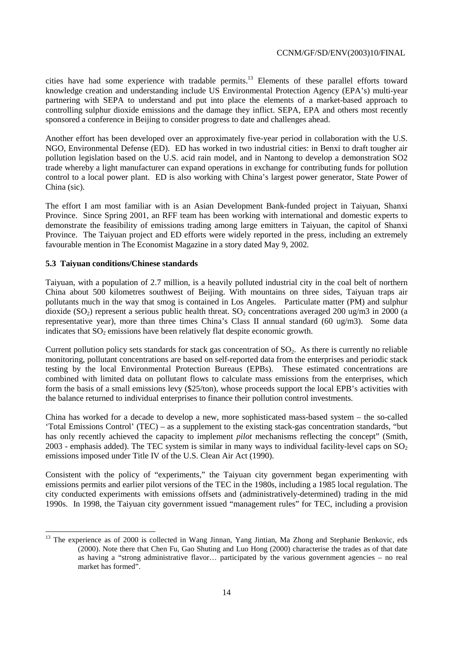cities have had some experience with tradable permits.<sup>13</sup> Elements of these parallel efforts toward knowledge creation and understanding include US Environmental Protection Agency (EPA's) multi-year partnering with SEPA to understand and put into place the elements of a market-based approach to controlling sulphur dioxide emissions and the damage they inflict. SEPA, EPA and others most recently sponsored a conference in Beijing to consider progress to date and challenges ahead.

Another effort has been developed over an approximately five-year period in collaboration with the U.S. NGO, Environmental Defense (ED). ED has worked in two industrial cities: in Benxi to draft tougher air pollution legislation based on the U.S. acid rain model, and in Nantong to develop a demonstration SO2 trade whereby a light manufacturer can expand operations in exchange for contributing funds for pollution control to a local power plant. ED is also working with China's largest power generator, State Power of China (sic).

The effort I am most familiar with is an Asian Development Bank-funded project in Taiyuan, Shanxi Province. Since Spring 2001, an RFF team has been working with international and domestic experts to demonstrate the feasibility of emissions trading among large emitters in Taiyuan, the capitol of Shanxi Province. The Taiyuan project and ED efforts were widely reported in the press, including an extremely favourable mention in The Economist Magazine in a story dated May 9, 2002.

### **5.3 Taiyuan conditions/Chinese standards**

-

Taiyuan, with a population of 2.7 million, is a heavily polluted industrial city in the coal belt of northern China about 500 kilometres southwest of Beijing. With mountains on three sides, Taiyuan traps air pollutants much in the way that smog is contained in Los Angeles. Particulate matter (PM) and sulphur dioxide (SO<sub>2</sub>) represent a serious public health threat. SO<sub>2</sub> concentrations averaged 200 ug/m3 in 2000 (a representative year), more than three times China's Class II annual standard (60 ug/m3). Some data indicates that  $SO<sub>2</sub>$  emissions have been relatively flat despite economic growth.

Current pollution policy sets standards for stack gas concentration of  $SO<sub>2</sub>$ . As there is currently no reliable monitoring, pollutant concentrations are based on self-reported data from the enterprises and periodic stack testing by the local Environmental Protection Bureaus (EPBs). These estimated concentrations are combined with limited data on pollutant flows to calculate mass emissions from the enterprises, which form the basis of a small emissions levy (\$25/ton), whose proceeds support the local EPB's activities with the balance returned to individual enterprises to finance their pollution control investments.

China has worked for a decade to develop a new, more sophisticated mass-based system – the so-called 'Total Emissions Control' (TEC) – as a supplement to the existing stack-gas concentration standards, "but has only recently achieved the capacity to implement *pilot* mechanisms reflecting the concept" (Smith,  $2003$  - emphasis added). The TEC system is similar in many ways to individual facility-level caps on  $SO<sub>2</sub>$ emissions imposed under Title IV of the U.S. Clean Air Act (1990).

Consistent with the policy of "experiments," the Taiyuan city government began experimenting with emissions permits and earlier pilot versions of the TEC in the 1980s, including a 1985 local regulation. The city conducted experiments with emissions offsets and (administratively-determined) trading in the mid 1990s. In 1998, the Taiyuan city government issued "management rules" for TEC, including a provision

<sup>&</sup>lt;sup>13</sup> The experience as of 2000 is collected in Wang Jinnan, Yang Jintian, Ma Zhong and Stephanie Benkovic, eds (2000). Note there that Chen Fu, Gao Shuting and Luo Hong (2000) characterise the trades as of that date as having a "strong administrative flavor… participated by the various government agencies – no real market has formed".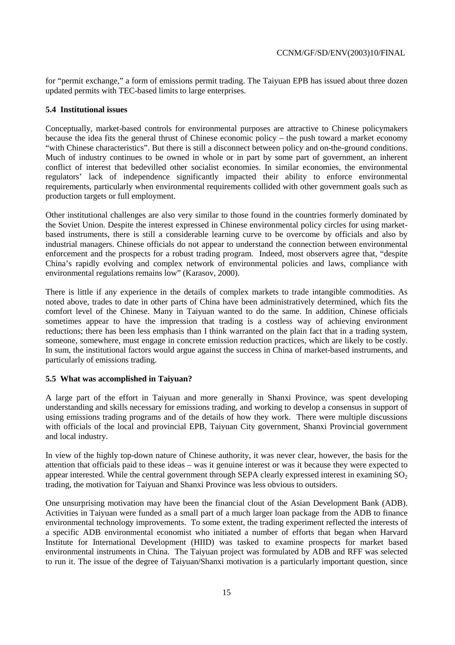for "permit exchange," a form of emissions permit trading. The Taiyuan EPB has issued about three dozen updated permits with TEC-based limits to large enterprises.

# **5.4 Institutional issues**

Conceptually, market-based controls for environmental purposes are attractive to Chinese policymakers because the idea fits the general thrust of Chinese economic policy – the push toward a market economy "with Chinese characteristics". But there is still a disconnect between policy and on-the-ground conditions. Much of industry continues to be owned in whole or in part by some part of government, an inherent conflict of interest that bedevilled other socialist economies. In similar economies, the environmental regulators' lack of independence significantly impacted their ability to enforce environmental requirements, particularly when environmental requirements collided with other government goals such as production targets or full employment.

Other institutional challenges are also very similar to those found in the countries formerly dominated by the Soviet Union. Despite the interest expressed in Chinese environmental policy circles for using marketbased instruments, there is still a considerable learning curve to be overcome by officials and also by industrial managers. Chinese officials do not appear to understand the connection between environmental enforcement and the prospects for a robust trading program. Indeed, most observers agree that, "despite China's rapidly evolving and complex network of environmental policies and laws, compliance with environmental regulations remains low" (Karasov, 2000).

There is little if any experience in the details of complex markets to trade intangible commodities. As noted above, trades to date in other parts of China have been administratively determined, which fits the comfort level of the Chinese. Many in Taiyuan wanted to do the same. In addition, Chinese officials sometimes appear to have the impression that trading is a costless way of achieving environment reductions; there has been less emphasis than I think warranted on the plain fact that in a trading system, someone, somewhere, must engage in concrete emission reduction practices, which are likely to be costly. In sum, the institutional factors would argue against the success in China of market-based instruments, and particularly of emissions trading.

# **5.5 What was accomplished in Taiyuan?**

A large part of the effort in Taiyuan and more generally in Shanxi Province, was spent developing understanding and skills necessary for emissions trading, and working to develop a consensus in support of using emissions trading programs and of the details of how they work. There were multiple discussions with officials of the local and provincial EPB, Taiyuan City government, Shanxi Provincial government and local industry.

In view of the highly top-down nature of Chinese authority, it was never clear, however, the basis for the attention that officials paid to these ideas – was it genuine interest or was it because they were expected to appear interested. While the central government through SEPA clearly expressed interest in examining  $SO<sub>2</sub>$ trading, the motivation for Taiyuan and Shanxi Province was less obvious to outsiders.

One unsurprising motivation may have been the financial clout of the Asian Development Bank (ADB). Activities in Taiyuan were funded as a small part of a much larger loan package from the ADB to finance environmental technology improvements. To some extent, the trading experiment reflected the interests of a specific ADB environmental economist who initiated a number of efforts that began when Harvard Institute for International Development (HIID) was tasked to examine prospects for market based environmental instruments in China. The Taiyuan project was formulated by ADB and RFF was selected to run it. The issue of the degree of Taiyuan/Shanxi motivation is a particularly important question, since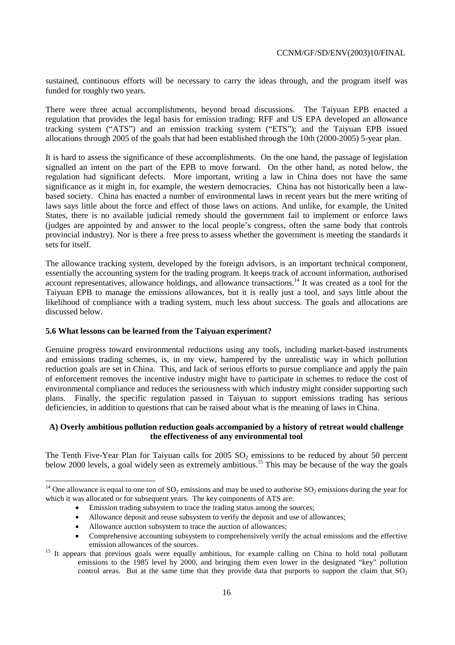sustained, continuous efforts will be necessary to carry the ideas through, and the program itself was funded for roughly two years.

There were three actual accomplishments, beyond broad discussions. The Taiyuan EPB enacted a regulation that provides the legal basis for emission trading; RFF and US EPA developed an allowance tracking system ("ATS") and an emission tracking system ("ETS"); and the Taiyuan EPB issued allocations through 2005 of the goals that had been established through the 10th (2000-2005) 5-year plan.

It is hard to assess the significance of these accomplishments. On the one hand, the passage of legislation signalled an intent on the part of the EPB to move forward. On the other hand, as noted below, the regulation had significant defects. More important, writing a law in China does not have the same significance as it might in, for example, the western democracies. China has not historically been a lawbased society. China has enacted a number of environmental laws in recent years but the mere writing of laws says little about the force and effect of those laws on actions. And unlike, for example, the United States, there is no available judicial remedy should the government fail to implement or enforce laws (judges are appointed by and answer to the local people's congress, often the same body that controls provincial industry). Nor is there a free press to assess whether the government is meeting the standards it sets for itself.

The allowance tracking system, developed by the foreign advisors, is an important technical component, essentially the accounting system for the trading program. It keeps track of account information, authorised account representatives, allowance holdings, and allowance transactions.14 It was created as a tool for the Taiyuan EPB to manage the emissions allowances, but it is really just a tool, and says little about the likelihood of compliance with a trading system, much less about success. The goals and allocations are discussed below.

## **5.6 What lessons can be learned from the Taiyuan experiment?**

-

Genuine progress toward environmental reductions using any tools, including market-based instruments and emissions trading schemes, is, in my view, hampered by the unrealistic way in which pollution reduction goals are set in China. This, and lack of serious efforts to pursue compliance and apply the pain of enforcement removes the incentive industry might have to participate in schemes to reduce the cost of environmental compliance and reduces the seriousness with which industry might consider supporting such plans. Finally, the specific regulation passed in Taiyuan to support emissions trading has serious deficiencies, in addition to questions that can be raised about what is the meaning of laws in China.

# **A) Overly ambitious pollution reduction goals accompanied by a history of retreat would challenge the effectiveness of any environmental tool**

The Tenth Five-Year Plan for Taiyuan calls for  $2005$  SO<sub>2</sub> emissions to be reduced by about 50 percent below 2000 levels, a goal widely seen as extremely ambitious.15 This may be because of the way the goals

<sup>&</sup>lt;sup>14</sup> One allowance is equal to one ton of  $SO_2$  emissions and may be used to authorise  $SO_2$  emissions during the year for which it was allocated or for subsequent years. The key components of ATS are:

<sup>•</sup> Emission trading subsystem to trace the trading status among the sources:

Allowance deposit and reuse subsystem to verify the deposit and use of allowances;

Allowance auction subsystem to trace the auction of allowances;

Comprehensive accounting subsystem to comprehensively verify the actual emissions and the effective

emission allowances of the sources.<br><sup>15</sup> It appears that previous goals were equally ambitious, for example calling on China to hold total pollutant emissions to the 1985 level by 2000, and bringing them even lower in the designated "key" pollution control areas. But at the same time that they provide data that purports to support the claim that  $SO_2$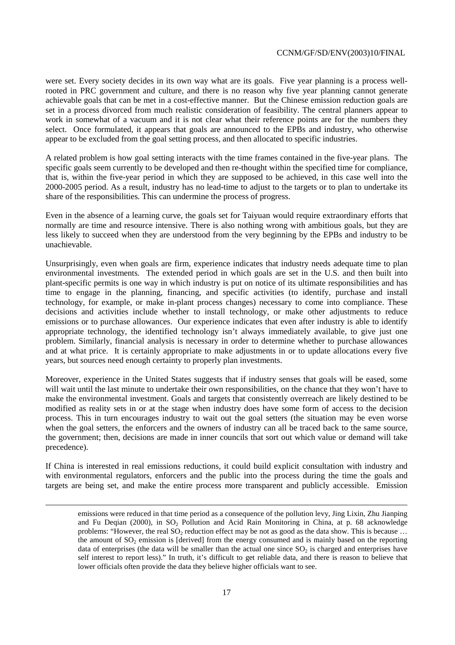were set. Every society decides in its own way what are its goals. Five year planning is a process wellrooted in PRC government and culture, and there is no reason why five year planning cannot generate achievable goals that can be met in a cost-effective manner. But the Chinese emission reduction goals are set in a process divorced from much realistic consideration of feasibility. The central planners appear to work in somewhat of a vacuum and it is not clear what their reference points are for the numbers they select. Once formulated, it appears that goals are announced to the EPBs and industry, who otherwise appear to be excluded from the goal setting process, and then allocated to specific industries.

A related problem is how goal setting interacts with the time frames contained in the five-year plans. The specific goals seem currently to be developed and then re-thought within the specified time for compliance, that is, within the five-year period in which they are supposed to be achieved, in this case well into the 2000-2005 period. As a result, industry has no lead-time to adjust to the targets or to plan to undertake its share of the responsibilities. This can undermine the process of progress.

Even in the absence of a learning curve, the goals set for Taiyuan would require extraordinary efforts that normally are time and resource intensive. There is also nothing wrong with ambitious goals, but they are less likely to succeed when they are understood from the very beginning by the EPBs and industry to be unachievable.

Unsurprisingly, even when goals are firm, experience indicates that industry needs adequate time to plan environmental investments. The extended period in which goals are set in the U.S. and then built into plant-specific permits is one way in which industry is put on notice of its ultimate responsibilities and has time to engage in the planning, financing, and specific activities (to identify, purchase and install technology, for example, or make in-plant process changes) necessary to come into compliance. These decisions and activities include whether to install technology, or make other adjustments to reduce emissions or to purchase allowances. Our experience indicates that even after industry is able to identify appropriate technology, the identified technology isn't always immediately available, to give just one problem. Similarly, financial analysis is necessary in order to determine whether to purchase allowances and at what price. It is certainly appropriate to make adjustments in or to update allocations every five years, but sources need enough certainty to properly plan investments.

Moreover, experience in the United States suggests that if industry senses that goals will be eased, some will wait until the last minute to undertake their own responsibilities, on the chance that they won't have to make the environmental investment. Goals and targets that consistently overreach are likely destined to be modified as reality sets in or at the stage when industry does have some form of access to the decision process. This in turn encourages industry to wait out the goal setters (the situation may be even worse when the goal setters, the enforcers and the owners of industry can all be traced back to the same source, the government; then, decisions are made in inner councils that sort out which value or demand will take precedence).

If China is interested in real emissions reductions, it could build explicit consultation with industry and with environmental regulators, enforcers and the public into the process during the time the goals and targets are being set, and make the entire process more transparent and publicly accessible. Emission

 $\overline{a}$ 

emissions were reduced in that time period as a consequence of the pollution levy, Jing Lixin, Zhu Jianping and Fu Deqian (2000), in  $SO<sub>2</sub>$  Pollution and Acid Rain Monitoring in China, at p. 68 acknowledge problems: "However, the real  $SO<sub>2</sub>$  reduction effect may be not as good as the data show. This is because ... the amount of  $SO_2$  emission is [derived] from the energy consumed and is mainly based on the reporting data of enterprises (the data will be smaller than the actual one since  $SO_2$  is charged and enterprises have self interest to report less)." In truth, it's difficult to get reliable data, and there is reason to believe that lower officials often provide the data they believe higher officials want to see.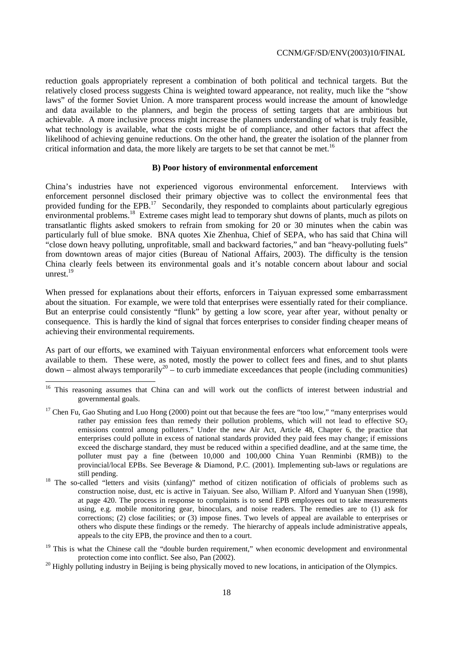reduction goals appropriately represent a combination of both political and technical targets. But the relatively closed process suggests China is weighted toward appearance, not reality, much like the "show laws" of the former Soviet Union. A more transparent process would increase the amount of knowledge and data available to the planners, and begin the process of setting targets that are ambitious but achievable. A more inclusive process might increase the planners understanding of what is truly feasible, what technology is available, what the costs might be of compliance, and other factors that affect the likelihood of achieving genuine reductions. On the other hand, the greater the isolation of the planner from critical information and data, the more likely are targets to be set that cannot be met.<sup>16</sup>

#### **B) Poor history of environmental enforcement**

China's industries have not experienced vigorous environmental enforcement. Interviews with enforcement personnel disclosed their primary objective was to collect the environmental fees that provided funding for the EPB.<sup>17</sup> Secondarily, they responded to complaints about particularly egregious environmental problems.<sup>18</sup> Extreme cases might lead to temporary shut downs of plants, much as pilots on transatlantic flights asked smokers to refrain from smoking for 20 or 30 minutes when the cabin was particularly full of blue smoke. BNA quotes Xie Zhenhua, Chief of SEPA, who has said that China will "close down heavy polluting, unprofitable, small and backward factories," and ban "heavy-polluting fuels" from downtown areas of major cities (Bureau of National Affairs, 2003). The difficulty is the tension China clearly feels between its environmental goals and it's notable concern about labour and social unrest.19

When pressed for explanations about their efforts, enforcers in Taiyuan expressed some embarrassment about the situation. For example, we were told that enterprises were essentially rated for their compliance. But an enterprise could consistently "flunk" by getting a low score, year after year, without penalty or consequence. This is hardly the kind of signal that forces enterprises to consider finding cheaper means of achieving their environmental requirements.

As part of our efforts, we examined with Taiyuan environmental enforcers what enforcement tools were available to them. These were, as noted, mostly the power to collect fees and fines, and to shut plants  $down$  – almost always temporarily<sup>20</sup> – to curb immediate exceedances that people (including communities)

-

<sup>&</sup>lt;sup>16</sup> This reasoning assumes that China can and will work out the conflicts of interest between industrial and governmental goals.

<sup>&</sup>lt;sup>17</sup> Chen Fu, Gao Shuting and Luo Hong (2000) point out that because the fees are "too low," "many enterprises would rather pay emission fees than remedy their pollution problems, which will not lead to effective  $SO<sub>2</sub>$ emissions control among polluters." Under the new Air Act, Article 48, Chapter 6, the practice that enterprises could pollute in excess of national standards provided they paid fees may change; if emissions exceed the discharge standard, they must be reduced within a specified deadline, and at the same time, the polluter must pay a fine (between 10,000 and 100,000 China Yuan Renminbi (RMB)) to the provincial/local EPBs. See Beverage & Diamond, P.C. (2001). Implementing sub-laws or regulations are still pending.<br>The so-called "letters and visits (xinfang)" method of citizen notification of officials of problems such as

construction noise, dust, etc is active in Taiyuan. See also, William P. Alford and Yuanyuan Shen (1998), at page 420. The process in response to complaints is to send EPB employees out to take measurements using, e.g. mobile monitoring gear, binoculars, and noise readers. The remedies are to (1) ask for corrections; (2) close facilities; or (3) impose fines. Two levels of appeal are available to enterprises or others who dispute these findings or the remedy. The hierarchy of appeals include administrative appeals, appeals to the city EPB, the province and then to a court.

<sup>&</sup>lt;sup>19</sup> This is what the Chinese call the "double burden requirement," when economic development and environmental protection come into conflict. See also, Pan  $(2002)$ .

<sup>&</sup>lt;sup>20</sup> Highly polluting industry in Beijing is being physically moved to new locations, in anticipation of the Olympics.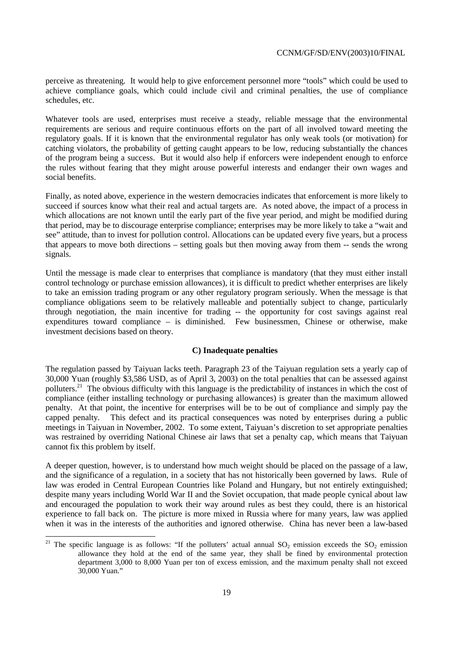perceive as threatening. It would help to give enforcement personnel more "tools" which could be used to achieve compliance goals, which could include civil and criminal penalties, the use of compliance schedules, etc.

Whatever tools are used, enterprises must receive a steady, reliable message that the environmental requirements are serious and require continuous efforts on the part of all involved toward meeting the regulatory goals. If it is known that the environmental regulator has only weak tools (or motivation) for catching violators, the probability of getting caught appears to be low, reducing substantially the chances of the program being a success. But it would also help if enforcers were independent enough to enforce the rules without fearing that they might arouse powerful interests and endanger their own wages and social benefits.

Finally, as noted above, experience in the western democracies indicates that enforcement is more likely to succeed if sources know what their real and actual targets are. As noted above, the impact of a process in which allocations are not known until the early part of the five year period, and might be modified during that period, may be to discourage enterprise compliance; enterprises may be more likely to take a "wait and see" attitude, than to invest for pollution control. Allocations can be updated every five years, but a process that appears to move both directions – setting goals but then moving away from them -- sends the wrong signals.

Until the message is made clear to enterprises that compliance is mandatory (that they must either install control technology or purchase emission allowances), it is difficult to predict whether enterprises are likely to take an emission trading program or any other regulatory program seriously. When the message is that compliance obligations seem to be relatively malleable and potentially subject to change, particularly through negotiation, the main incentive for trading -- the opportunity for cost savings against real expenditures toward compliance – is diminished. Few businessmen, Chinese or otherwise, make investment decisions based on theory.

## **C) Inadequate penalties**

The regulation passed by Taiyuan lacks teeth. Paragraph 23 of the Taiyuan regulation sets a yearly cap of 30,000 Yuan (roughly \$3,586 USD, as of April 3, 2003) on the total penalties that can be assessed against polluters.<sup>21</sup> The obvious difficulty with this language is the predictability of instances in which the cost of compliance (either installing technology or purchasing allowances) is greater than the maximum allowed penalty. At that point, the incentive for enterprises will be to be out of compliance and simply pay the capped penalty. This defect and its practical consequences was noted by enterprises during a public meetings in Taiyuan in November, 2002. To some extent, Taiyuan's discretion to set appropriate penalties was restrained by overriding National Chinese air laws that set a penalty cap, which means that Taiyuan cannot fix this problem by itself.

A deeper question, however, is to understand how much weight should be placed on the passage of a law, and the significance of a regulation, in a society that has not historically been governed by laws. Rule of law was eroded in Central European Countries like Poland and Hungary, but not entirely extinguished; despite many years including World War II and the Soviet occupation, that made people cynical about law and encouraged the population to work their way around rules as best they could, there is an historical experience to fall back on. The picture is more mixed in Russia where for many years, law was applied when it was in the interests of the authorities and ignored otherwise. China has never been a law-based

-

<sup>&</sup>lt;sup>21</sup> The specific language is as follows: "If the polluters' actual annual  $SO_2$  emission exceeds the  $SO_2$  emission allowance they hold at the end of the same year, they shall be fined by environmental protection department 3,000 to 8,000 Yuan per ton of excess emission, and the maximum penalty shall not exceed 30,000 Yuan."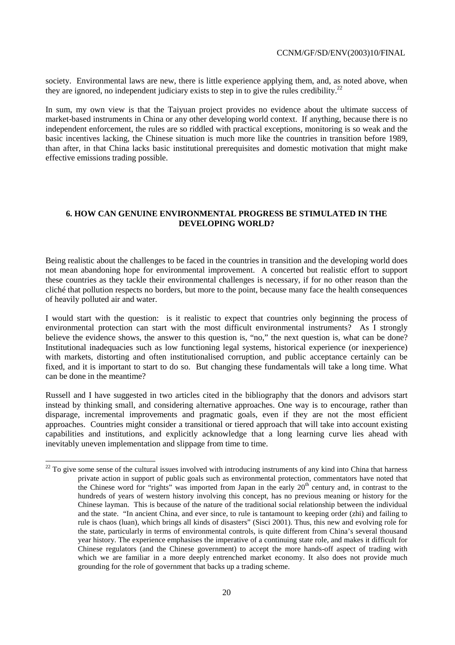society. Environmental laws are new, there is little experience applying them, and, as noted above, when they are ignored, no independent judiciary exists to step in to give the rules credibility.<sup>22</sup>

In sum, my own view is that the Taiyuan project provides no evidence about the ultimate success of market-based instruments in China or any other developing world context. If anything, because there is no independent enforcement, the rules are so riddled with practical exceptions, monitoring is so weak and the basic incentives lacking, the Chinese situation is much more like the countries in transition before 1989, than after, in that China lacks basic institutional prerequisites and domestic motivation that might make effective emissions trading possible.

# **6. HOW CAN GENUINE ENVIRONMENTAL PROGRESS BE STIMULATED IN THE DEVELOPING WORLD?**

Being realistic about the challenges to be faced in the countries in transition and the developing world does not mean abandoning hope for environmental improvement. A concerted but realistic effort to support these countries as they tackle their environmental challenges is necessary, if for no other reason than the cliché that pollution respects no borders, but more to the point, because many face the health consequences of heavily polluted air and water.

I would start with the question: is it realistic to expect that countries only beginning the process of environmental protection can start with the most difficult environmental instruments? As I strongly believe the evidence shows, the answer to this question is, "no," the next question is, what can be done? Institutional inadequacies such as low functioning legal systems, historical experience (or inexperience) with markets, distorting and often institutionalised corruption, and public acceptance certainly can be fixed, and it is important to start to do so. But changing these fundamentals will take a long time. What can be done in the meantime?

Russell and I have suggested in two articles cited in the bibliography that the donors and advisors start instead by thinking small, and considering alternative approaches. One way is to encourage, rather than disparage, incremental improvements and pragmatic goals, even if they are not the most efficient approaches. Countries might consider a transitional or tiered approach that will take into account existing capabilities and institutions, and explicitly acknowledge that a long learning curve lies ahead with inevitably uneven implementation and slippage from time to time.

<u>.</u>

 $22$  To give some sense of the cultural issues involved with introducing instruments of any kind into China that harness private action in support of public goals such as environmental protection, commentators have noted that the Chinese word for "rights" was imported from Japan in the early 20<sup>th</sup> century and, in contrast to the hundreds of years of western history involving this concept, has no previous meaning or history for the Chinese layman. This is because of the nature of the traditional social relationship between the individual and the state. "In ancient China, and ever since, to rule is tantamount to keeping order (zhi) and failing to rule is chaos (luan), which brings all kinds of disasters" (Sisci 2001). Thus, this new and evolving role for the state, particularly in terms of environmental controls, is quite different from China's several thousand year history. The experience emphasises the imperative of a continuing state role, and makes it difficult for Chinese regulators (and the Chinese government) to accept the more hands-off aspect of trading with which we are familiar in a more deeply entrenched market economy. It also does not provide much grounding for the role of government that backs up a trading scheme.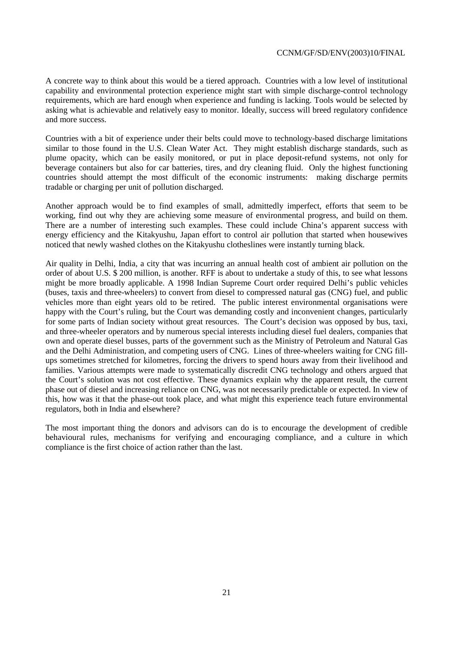A concrete way to think about this would be a tiered approach. Countries with a low level of institutional capability and environmental protection experience might start with simple discharge-control technology requirements, which are hard enough when experience and funding is lacking. Tools would be selected by asking what is achievable and relatively easy to monitor. Ideally, success will breed regulatory confidence and more success.

Countries with a bit of experience under their belts could move to technology-based discharge limitations similar to those found in the U.S. Clean Water Act. They might establish discharge standards, such as plume opacity, which can be easily monitored, or put in place deposit-refund systems, not only for beverage containers but also for car batteries, tires, and dry cleaning fluid. Only the highest functioning countries should attempt the most difficult of the economic instruments: making discharge permits tradable or charging per unit of pollution discharged.

Another approach would be to find examples of small, admittedly imperfect, efforts that seem to be working, find out why they are achieving some measure of environmental progress, and build on them. There are a number of interesting such examples. These could include China's apparent success with energy efficiency and the Kitakyushu, Japan effort to control air pollution that started when housewives noticed that newly washed clothes on the Kitakyushu clotheslines were instantly turning black.

Air quality in Delhi, India, a city that was incurring an annual health cost of ambient air pollution on the order of about U.S. \$ 200 million, is another. RFF is about to undertake a study of this, to see what lessons might be more broadly applicable. A 1998 Indian Supreme Court order required Delhi's public vehicles (buses, taxis and three-wheelers) to convert from diesel to compressed natural gas (CNG) fuel, and public vehicles more than eight years old to be retired. The public interest environmental organisations were happy with the Court's ruling, but the Court was demanding costly and inconvenient changes, particularly for some parts of Indian society without great resources. The Court's decision was opposed by bus, taxi, and three-wheeler operators and by numerous special interests including diesel fuel dealers, companies that own and operate diesel busses, parts of the government such as the Ministry of Petroleum and Natural Gas and the Delhi Administration, and competing users of CNG. Lines of three-wheelers waiting for CNG fillups sometimes stretched for kilometres, forcing the drivers to spend hours away from their livelihood and families. Various attempts were made to systematically discredit CNG technology and others argued that the Court's solution was not cost effective. These dynamics explain why the apparent result, the current phase out of diesel and increasing reliance on CNG, was not necessarily predictable or expected. In view of this, how was it that the phase-out took place, and what might this experience teach future environmental regulators, both in India and elsewhere?

The most important thing the donors and advisors can do is to encourage the development of credible behavioural rules, mechanisms for verifying and encouraging compliance, and a culture in which compliance is the first choice of action rather than the last.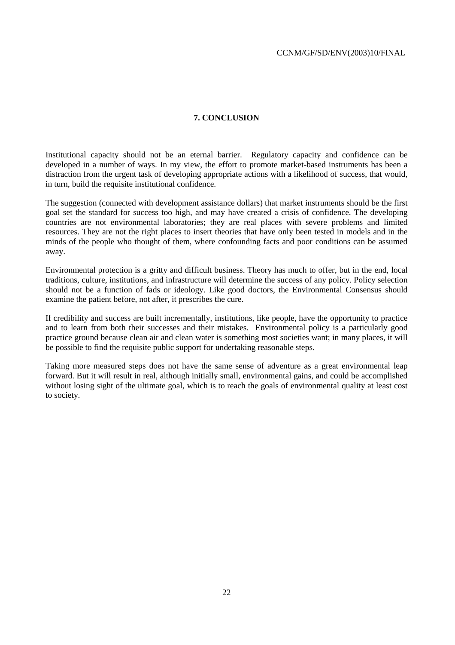### **7. CONCLUSION**

Institutional capacity should not be an eternal barrier. Regulatory capacity and confidence can be developed in a number of ways. In my view, the effort to promote market-based instruments has been a distraction from the urgent task of developing appropriate actions with a likelihood of success, that would, in turn, build the requisite institutional confidence.

The suggestion (connected with development assistance dollars) that market instruments should be the first goal set the standard for success too high, and may have created a crisis of confidence. The developing countries are not environmental laboratories; they are real places with severe problems and limited resources. They are not the right places to insert theories that have only been tested in models and in the minds of the people who thought of them, where confounding facts and poor conditions can be assumed away.

Environmental protection is a gritty and difficult business. Theory has much to offer, but in the end, local traditions, culture, institutions, and infrastructure will determine the success of any policy. Policy selection should not be a function of fads or ideology. Like good doctors, the Environmental Consensus should examine the patient before, not after, it prescribes the cure.

If credibility and success are built incrementally, institutions, like people, have the opportunity to practice and to learn from both their successes and their mistakes. Environmental policy is a particularly good practice ground because clean air and clean water is something most societies want; in many places, it will be possible to find the requisite public support for undertaking reasonable steps.

Taking more measured steps does not have the same sense of adventure as a great environmental leap forward. But it will result in real, although initially small, environmental gains, and could be accomplished without losing sight of the ultimate goal, which is to reach the goals of environmental quality at least cost to society.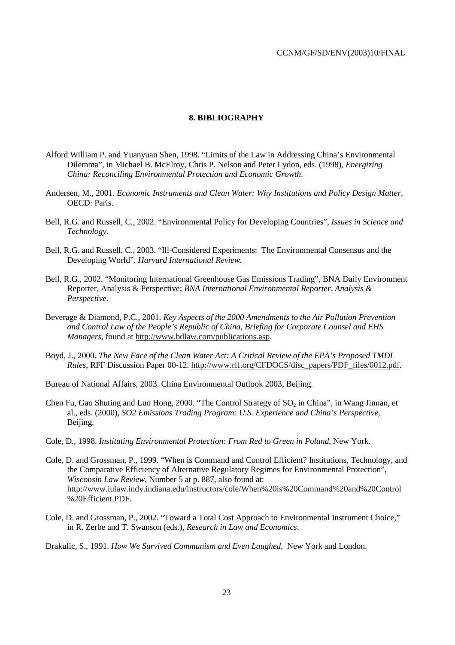#### **8. BIBLIOGRAPHY**

- Alford William P. and Yuanyuan Shen, 1998. "Limits of the Law in Addressing China's Environmental Dilemma", in Michael B. McElroy, Chris P. Nelson and Peter Lydon, eds. (1998), *Energizing China: Reconciling Environmental Protection and Economic Growth*.
- Andersen, M., 2001. *Economic Instruments and Clean Water: Why Institutions and Policy Design Matter*, OECD: Paris.
- Bell, R.G. and Russell, C., 2002. "Environmental Policy for Developing Countries", *Issues in Science and Technology.*
- Bell, R.G. and Russell, C., 2003. "Ill-Considered Experiments: The Environmental Consensus and the Developing World", *Harvard International Review.*
- Bell, R.G., 2002. "Monitoring International Greenhouse Gas Emissions Trading", BNA Daily Environment Reporter, Analysis & Perspective; *BNA International Environmental Reporter, Analysis & Perspective*.
- Beverage & Diamond, P.C., 2001. *Key Aspects of the 2000 Amendments to the Air Pollution Prevention and Control Law of the People's Republic of China, Briefing for Corporate Counsel and EHS Managers*, found at http://www.bdlaw.com/publications.asp.
- Boyd, J., 2000. *The New Face of the Clean Water Act: A Critical Review of the EPA's Proposed TMDL Rules*, RFF Discussion Paper 00-12. http://www.rff.org/CFDOCS/disc\_papers/PDF\_files/0012.pdf.
- Bureau of National Affairs, 2003. China Environmental Outlook 2003, Beijing.
- Chen Fu, Gao Shuting and Luo Hong, 2000. "The Control Strategy of  $SO<sub>2</sub>$  in China", in Wang Jinnan, et al., eds. (2000), *SO2 Emissions Trading Program: U.S. Experience and China's Perspective*, Beijing.
- Cole, D., 1998. *Instituting Environmental Protection: From Red to Green in Poland*, New York.
- Cole, D. and Grossman, P., 1999. "When is Command and Control Efficient? Institutions, Technology, and the Comparative Efficiency of Alternative Regulatory Regimes for Environmental Protection", *Wisconsin Law Review*, Number 5 at p. 887, also found at: http://www.iulaw.indy.indiana.edu/instructors/cole/When%20is%20Command%20and%20Control %20Efficient.PDF.
- Cole, D. and Grossman, P., 2002. "Toward a Total Cost Approach to Environmental Instrument Choice," in R. Zerbe and T. Swanson (eds.), *Research in Law and Economics*.
- Drakulic, S., 1991. *How We Survived Communism and Even Laughed,* New York and London.